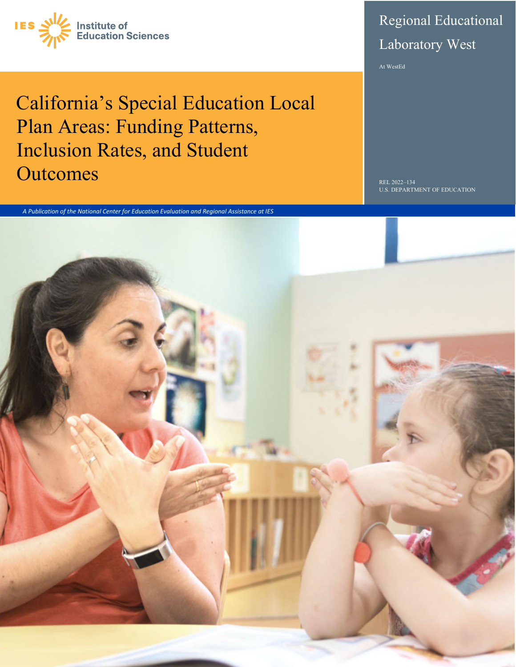

# Regional Educational Laboratory West

At WestEd

California's Special Education Local Plan Areas: Funding Patterns, Inclusion Rates, and Student Outcomes Relation of the Contract of the Contract of the Contract of the Contract of the Contract of the Contract of the Contract of the Contract of the Contract of the Contract of the Contract of the Contract of the Contr

*A Publication of the National Center for Education Evaluation and Regional Assistance at IES*

U.S. DEPARTMENT OF EDUCATION

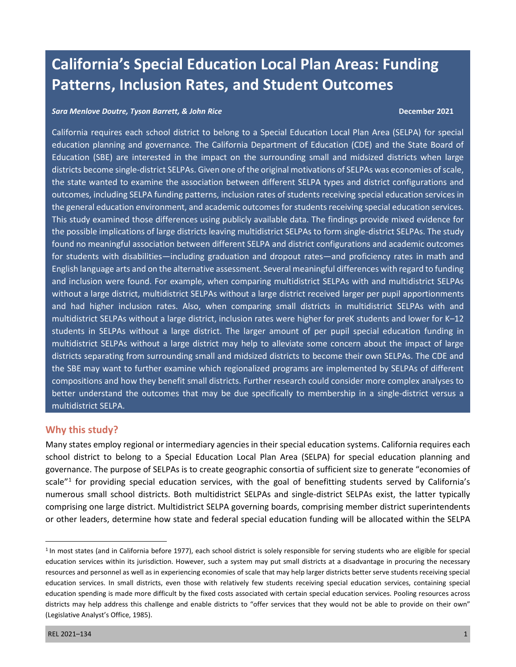# **California's Special Education Local Plan Areas: Funding Patterns, Inclusion Rates, and Student Outcomes**

#### *Sara Menlove Doutre, Tyson Barrett, & John Rice* **December 2021**

California requires each school district to belong to a Special Education Local Plan Area (SELPA) for special education planning and governance. The California Department of Education (CDE) and the State Board of Education (SBE) are interested in the impact on the surrounding small and midsized districts when large districts become single-district SELPAs. Given one of the original motivations of SELPAs was economies of scale, the state wanted to examine the association between different SELPA types and district configurations and outcomes, including SELPA funding patterns, inclusion rates of students receiving special education services in the general education environment, and academic outcomes for students receiving special education services. This study examined those differences using publicly available data. The findings provide mixed evidence for the possible implications of large districts leaving multidistrict SELPAs to form single-district SELPAs. The study found no meaningful association between different SELPA and district configurations and academic outcomes for students with disabilities—including graduation and dropout rates—and proficiency rates in math and English language arts and on the alternative assessment. Several meaningful differences with regard to funding and inclusion were found. For example, when comparing multidistrict SELPAs with and multidistrict SELPAs without a large district, multidistrict SELPAs without a large district received larger per pupil apportionments and had higher inclusion rates. Also, when comparing small districts in multidistrict SELPAs with and multidistrict SELPAs without a large district, inclusion rates were higher for preK students and lower for K–12 students in SELPAs without a large district. The larger amount of per pupil special education funding in multidistrict SELPAs without a large district may help to alleviate some concern about the impact of large districts separating from surrounding small and midsized districts to become their own SELPAs. The CDE and the SBE may want to further examine which regionalized programs are implemented by SELPAs of different compositions and how they benefit small districts. Further research could consider more complex analyses to better understand the outcomes that may be due specifically to membership in a single-district versus a multidistrict SELPA.

#### **Why this study?**

Many states employ regional or intermediary agencies in their special education systems. California requires each school district to belong to a Special Education Local Plan Area (SELPA) for special education planning and governance. The purpose of SELPAs is to create geographic consortia of sufficient size to generate "economies of scale"<sup>[1](#page-1-0)</sup> for providing special education services, with the goal of benefitting students served by California's numerous small school districts. Both multidistrict SELPAs and single-district SELPAs exist, the latter typically comprising one large district. Multidistrict SELPA governing boards, comprising member district superintendents or other leaders, determine how state and federal special education funding will be allocated within the SELPA

<span id="page-1-0"></span><sup>1</sup> In most states (and in California before 1977), each school district is solely responsible for serving students who are eligible for special education services within its jurisdiction. However, such a system may put small districts at a disadvantage in procuring the necessary resources and personnel as well as in experiencing economies of scale that may help larger districts better serve students receiving special education services. In small districts, even those with relatively few students receiving special education services, containing special education spending is made more difficult by the fixed costs associated with certain special education services. Pooling resources across districts may help address this challenge and enable districts to "offer services that they would not be able to provide on their own" (Legislative Analyst's Office, 1985).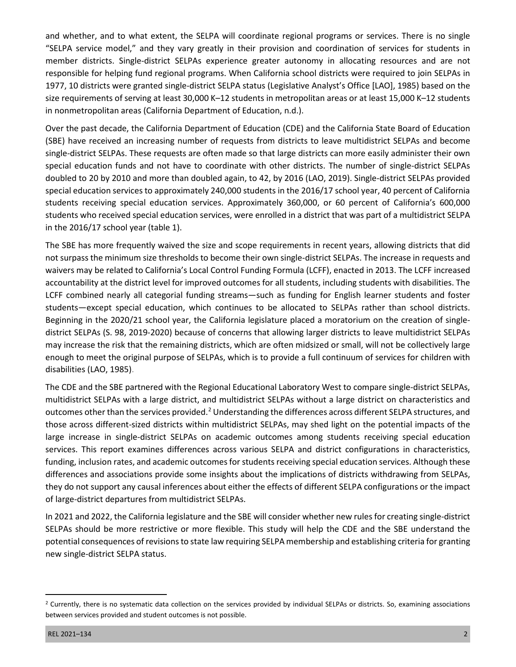and whether, and to what extent, the SELPA will coordinate regional programs or services. There is no single "SELPA service model," and they vary greatly in their provision and coordination of services for students in member districts. Single-district SELPAs experience greater autonomy in allocating resources and are not responsible for helping fund regional programs. When California school districts were required to join SELPAs in 1977, 10 districts were granted single-district SELPA status (Legislative Analyst's Office [LAO], 1985) based on the size requirements of serving at least 30,000 K–12 students in metropolitan areas or at least 15,000 K–12 students in nonmetropolitan areas (California Department of Education, n.d.).

Over the past decade, the California Department of Education (CDE) and the California State Board of Education (SBE) have received an increasing number of requests from districts to leave multidistrict SELPAs and become single-district SELPAs. These requests are often made so that large districts can more easily administer their own special education funds and not have to coordinate with other districts. The number of single-district SELPAs doubled to 20 by 2010 and more than doubled again, to 42, by 2016 (LAO, 2019). Single-district SELPAs provided special education services to approximately 240,000 students in the 2016/17 school year, 40 percent of California students receiving special education services. Approximately 360,000, or 60 percent of California's 600,000 students who received special education services, were enrolled in a district that was part of a multidistrict SELPA in the 2016/17 school year (table 1).

The SBE has more frequently waived the size and scope requirements in recent years, allowing districts that did not surpass the minimum size thresholds to become their own single-district SELPAs. The increase in requests and waivers may be related to California's Local Control Funding Formula (LCFF), enacted in 2013. The LCFF increased accountability at the district level for improved outcomes for all students, including students with disabilities. The LCFF combined nearly all categorial funding streams—such as funding for English learner students and foster students—except special education, which continues to be allocated to SELPAs rather than school districts. Beginning in the 2020/21 school year, the California legislature placed a moratorium on the creation of singledistrict SELPAs (S. 98, 2019-2020) because of concerns that allowing larger districts to leave multidistrict SELPAs may increase the risk that the remaining districts, which are often midsized or small, will not be collectively large enough to meet the original purpose of SELPAs, which is to provide a full continuum of services for children with disabilities (LAO, 1985).

The CDE and the SBE partnered with the Regional Educational Laboratory West to compare single-district SELPAs, multidistrict SELPAs with a large district, and multidistrict SELPAs without a large district on characteristics and outcomes other than the services provided.<sup>[2](#page-2-0)</sup> Understanding the differences across different SELPA structures, and those across different-sized districts within multidistrict SELPAs, may shed light on the potential impacts of the large increase in single-district SELPAs on academic outcomes among students receiving special education services. This report examines differences across various SELPA and district configurations in characteristics, funding, inclusion rates, and academic outcomes for students receiving special education services. Although these differences and associations provide some insights about the implications of districts withdrawing from SELPAs, they do not support any causal inferences about either the effects of different SELPA configurations or the impact of large-district departures from multidistrict SELPAs.

In 2021 and 2022, the California legislature and the SBE will consider whether new rules for creating single-district SELPAs should be more restrictive or more flexible. This study will help the CDE and the SBE understand the potential consequences of revisions to state law requiring SELPA membership and establishing criteria for granting new single-district SELPA status.

<span id="page-2-0"></span><sup>&</sup>lt;sup>2</sup> Currently, there is no systematic data collection on the services provided by individual SELPAs or districts. So, examining associations between services provided and student outcomes is not possible.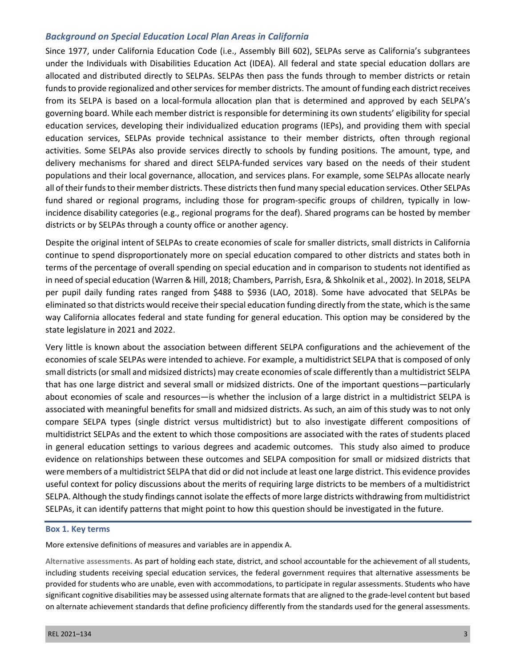#### *Background on Special Education Local Plan Areas in California*

Since 1977, under California Education Code (i.e., Assembly Bill 602), SELPAs serve as California's subgrantees under the Individuals with Disabilities Education Act (IDEA). All federal and state special education dollars are allocated and distributed directly to SELPAs. SELPAs then pass the funds through to member districts or retain funds to provide regionalized and other services for member districts. The amount of funding each district receives from its SELPA is based on a local-formula allocation plan that is determined and approved by each SELPA's governing board. While each member district is responsible for determining its own students' eligibility for special education services, developing their individualized education programs (IEPs), and providing them with special education services, SELPAs provide technical assistance to their member districts, often through regional activities. Some SELPAs also provide services directly to schools by funding positions. The amount, type, and delivery mechanisms for shared and direct SELPA-funded services vary based on the needs of their student populations and their local governance, allocation, and services plans. For example, some SELPAs allocate nearly all of their funds to their member districts. These districts then fund many special education services. Other SELPAs fund shared or regional programs, including those for program-specific groups of children, typically in lowincidence disability categories (e.g., regional programs for the deaf). Shared programs can be hosted by member districts or by SELPAs through a county office or another agency.

Despite the original intent of SELPAs to create economies of scale for smaller districts, small districts in California continue to spend disproportionately more on special education compared to other districts and states both in terms of the percentage of overall spending on special education and in comparison to students not identified as in need of special education (Warren & Hill, 2018; Chambers, Parrish, Esra, & Shkolnik et al., 2002). In 2018, SELPA per pupil daily funding rates ranged from \$488 to \$936 (LAO, 2018). Some have advocated that SELPAs be eliminated so that districts would receive their special education funding directly from the state, which is the same way California allocates federal and state funding for general education. This option may be considered by the state legislature in 2021 and 2022.

Very little is known about the association between different SELPA configurations and the achievement of the economies of scale SELPAs were intended to achieve. For example, a multidistrict SELPA that is composed of only small districts (or small and midsized districts) may create economies of scale differently than a multidistrict SELPA that has one large district and several small or midsized districts. One of the important questions—particularly about economies of scale and resources—is whether the inclusion of a large district in a multidistrict SELPA is associated with meaningful benefits for small and midsized districts. As such, an aim of this study was to not only compare SELPA types (single district versus multidistrict) but to also investigate different compositions of multidistrict SELPAs and the extent to which those compositions are associated with the rates of students placed in general education settings to various degrees and academic outcomes. This study also aimed to produce evidence on relationships between these outcomes and SELPA composition for small or midsized districts that were members of a multidistrict SELPA that did or did not include at least one large district. This evidence provides useful context for policy discussions about the merits of requiring large districts to be members of a multidistrict SELPA. Although the study findings cannot isolate the effects of more large districts withdrawing from multidistrict SELPAs, it can identify patterns that might point to how this question should be investigated in the future.

#### **Box 1. Key terms**

More extensive definitions of measures and variables are in appendix A.

**Alternative assessments.** As part of holding each state, district, and school accountable for the achievement of all students, including students receiving special education services, the federal government requires that alternative assessments be provided for students who are unable, even with accommodations, to participate in regular assessments. Students who have significant cognitive disabilities may be assessed using alternate formats that are aligned to the grade-level content but based on alternate achievement standards that define proficiency differently from the standards used for the general assessments.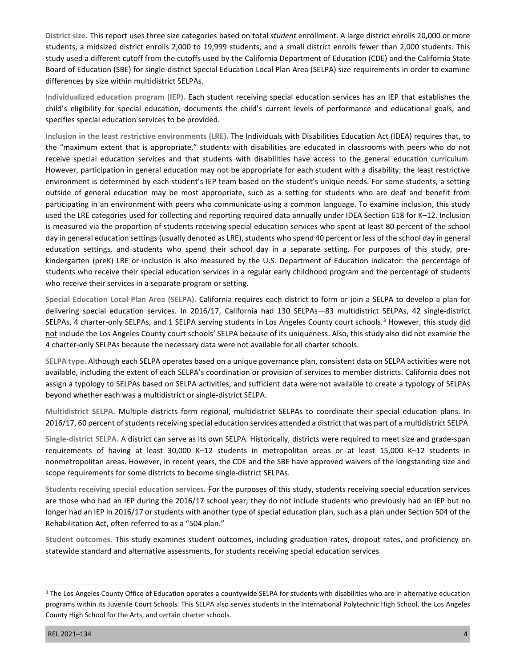**District size.** This report uses three size categories based on total *student* enrollment. A large district enrolls 20,000 or more students, a midsized district enrolls 2,000 to 19,999 students, and a small district enrolls fewer than 2,000 students. This study used a different cutoff from the cutoffs used by the California Department of Education (CDE) and the California State Board of Education (SBE) for single-district Special Education Local Plan Area (SELPA) size requirements in order to examine differences by size within multidistrict SELPAs.

**Individualized education program (IEP).** Each student receiving special education services has an IEP that establishes the child's eligibility for special education, documents the child's current levels of performance and educational goals, and specifies special education services to be provided.

**Inclusion in the least restrictive environments (LRE).** The Individuals with Disabilities Education Act (IDEA) requires that, to the "maximum extent that is appropriate," students with disabilities are educated in classrooms with peers who do not receive special education services and that students with disabilities have access to the general education curriculum. However, participation in general education may not be appropriate for each student with a disability; the least restrictive environment is determined by each student's IEP team based on the student's unique needs. For some students, a setting outside of general education may be most appropriate, such as a setting for students who are deaf and benefit from participating in an environment with peers who communicate using a common language. To examine inclusion, this study used the LRE categories used for collecting and reporting required data annually under IDEA Section 618 for K–12. Inclusion is measured via the proportion of students receiving special education services who spent at least 80 percent of the school day in general education settings (usually denoted as LRE), students who spend 40 percent or less of the school day in general education settings, and students who spend their school day in a separate setting. For purposes of this study, prekindergarten (preK) LRE or inclusion is also measured by the U.S. Department of Education indicator: the percentage of students who receive their special education services in a regular early childhood program and the percentage of students who receive their services in a separate program or setting.

**Special Education Local Plan Area (SELPA).** California requires each district to form or join a SELPA to develop a plan for delivering special education services. In 2016/17, California had 130 SELPAs—83 multidistrict SELPAs, 42 single-district SELPAs, 4 charter-only SELPAs, and 1 SELPA serving students in Los Angeles County court schools.<sup>[3](#page-4-0)</sup> However, this study did not include the Los Angeles County court schools' SELPA because of its uniqueness. Also, this study also did not examine the 4 charter-only SELPAs because the necessary data were not available for all charter schools.

**SELPA type.** Although each SELPA operates based on a unique governance plan, consistent data on SELPA activities were not available, including the extent of each SELPA's coordination or provision of services to member districts. California does not assign a typology to SELPAs based on SELPA activities, and sufficient data were not available to create a typology of SELPAs beyond whether each was a multidistrict or single-district SELPA.

**Multidistrict SELPA.** Multiple districts form regional, multidistrict SELPAs to coordinate their special education plans. In 2016/17, 60 percent of students receiving special education services attended a district that was part of a multidistrict SELPA.

**Single-district SELPA.** A district can serve as its own SELPA. Historically, districts were required to meet size and grade-span requirements of having at least 30,000 K–12 students in metropolitan areas or at least 15,000 K–12 students in nonmetropolitan areas. However, in recent years, the CDE and the SBE have approved waivers of the longstanding size and scope requirements for some districts to become single-district SELPAs.

**Students receiving special education services.** For the purposes of this study, students receiving special education services are those who had an IEP during the 2016/17 school year; they do not include students who previously had an IEP but no longer had an IEP in 2016/17 or students with another type of special education plan, such as a plan under Section 504 of the Rehabilitation Act, often referred to as a "504 plan."

**Student outcomes.** This study examines student outcomes, including graduation rates, dropout rates, and proficiency on statewide standard and alternative assessments, for students receiving special education services.

<span id="page-4-0"></span><sup>&</sup>lt;sup>3</sup> The Los Angeles County Office of Education operates a countywide SELPA for students with disabilities who are in alternative education programs within its Juvenile Court Schools. This SELPA also serves students in the International Polytechnic High School, the Los Angeles County High School for the Arts, and certain charter schools.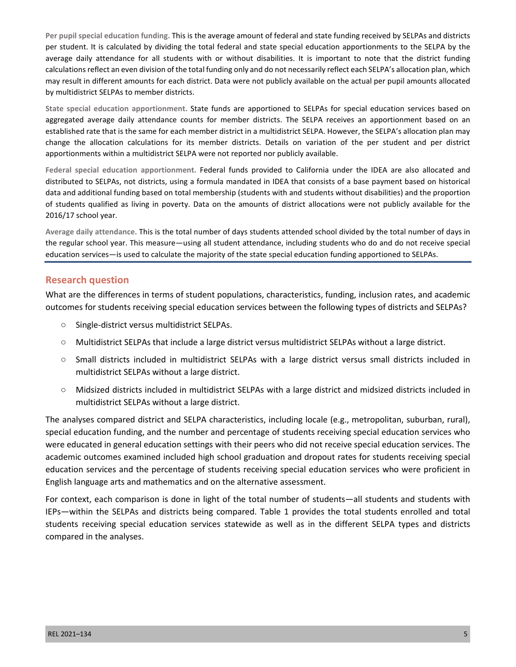**Per pupil special education funding.** This is the average amount of federal and state funding received by SELPAs and districts per student. It is calculated by dividing the total federal and state special education apportionments to the SELPA by the average daily attendance for all students with or without disabilities. It is important to note that the district funding calculations reflect an even division of the total funding only and do not necessarily reflect each SELPA's allocation plan, which may result in different amounts for each district. Data were not publicly available on the actual per pupil amounts allocated by multidistrict SELPAs to member districts.

**State special education apportionment.** State funds are apportioned to SELPAs for special education services based on aggregated average daily attendance counts for member districts. The SELPA receives an apportionment based on an established rate that is the same for each member district in a multidistrict SELPA. However, the SELPA's allocation plan may change the allocation calculations for its member districts. Details on variation of the per student and per district apportionments within a multidistrict SELPA were not reported nor publicly available.

**Federal special education apportionment.** Federal funds provided to California under the IDEA are also allocated and distributed to SELPAs, not districts, using a formula mandated in IDEA that consists of a base payment based on historical data and additional funding based on total membership (students with and students without disabilities) and the proportion of students qualified as living in poverty. Data on the amounts of district allocations were not publicly available for the 2016/17 school year.

**Average daily attendance.** This is the total number of days students attended school divided by the total number of days in the regular school year. This measure—using all student attendance, including students who do and do not receive special education services—is used to calculate the majority of the state special education funding apportioned to SELPAs.

#### **Research question**

What are the differences in terms of student populations, characteristics, funding, inclusion rates, and academic outcomes for students receiving special education services between the following types of districts and SELPAs?

- Single-district versus multidistrict SELPAs.
- Multidistrict SELPAs that include a large district versus multidistrict SELPAs without a large district.
- Small districts included in multidistrict SELPAs with a large district versus small districts included in multidistrict SELPAs without a large district.
- Midsized districts included in multidistrict SELPAs with a large district and midsized districts included in multidistrict SELPAs without a large district.

The analyses compared district and SELPA characteristics, including locale (e.g., metropolitan, suburban, rural), special education funding, and the number and percentage of students receiving special education services who were educated in general education settings with their peers who did not receive special education services. The academic outcomes examined included high school graduation and dropout rates for students receiving special education services and the percentage of students receiving special education services who were proficient in English language arts and mathematics and on the alternative assessment.

For context, each comparison is done in light of the total number of students—all students and students with IEPs—within the SELPAs and districts being compared. Table 1 provides the total students enrolled and total students receiving special education services statewide as well as in the different SELPA types and districts compared in the analyses.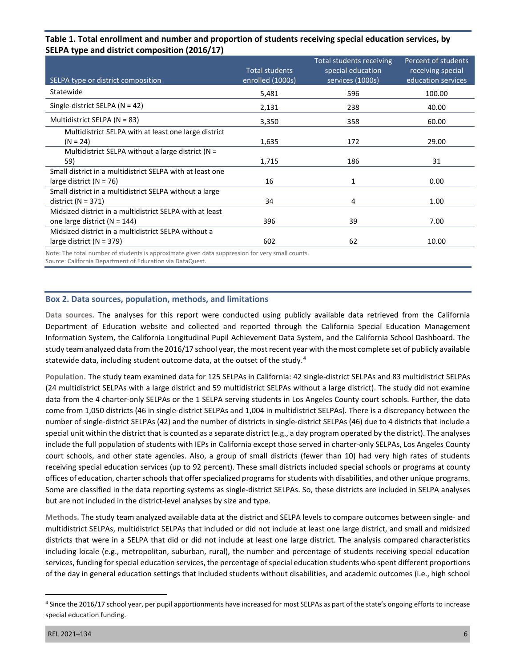#### **Table 1. Total enrollment and number and proportion of students receiving special education services, by SELPA type and district composition (2016/17)**

| SELPA type or district composition                        | <b>Total students</b><br>enrolled (1000s) | Total students receiving<br>special education<br>services (1000s) | Percent of students<br>receiving special<br>education services |
|-----------------------------------------------------------|-------------------------------------------|-------------------------------------------------------------------|----------------------------------------------------------------|
|                                                           |                                           |                                                                   |                                                                |
| Statewide                                                 | 5,481                                     | 596                                                               | 100.00                                                         |
| Single-district SELPA ( $N = 42$ )                        | 2,131                                     | 238                                                               | 40.00                                                          |
| Multidistrict SELPA (N = 83)                              | 3,350                                     | 358                                                               | 60.00                                                          |
| Multidistrict SELPA with at least one large district      |                                           |                                                                   |                                                                |
| $(N = 24)$                                                | 1,635                                     | 172                                                               | 29.00                                                          |
| Multidistrict SELPA without a large district ( $N =$      |                                           |                                                                   |                                                                |
| 59)                                                       | 1,715                                     | 186                                                               | 31                                                             |
| Small district in a multidistrict SELPA with at least one |                                           |                                                                   |                                                                |
| large district $(N = 76)$                                 | 16                                        | 1                                                                 | 0.00                                                           |
| Small district in a multidistrict SELPA without a large   |                                           |                                                                   |                                                                |
| district $(N = 371)$                                      | 34                                        | 4                                                                 | 1.00                                                           |
| Midsized district in a multidistrict SELPA with at least  |                                           |                                                                   |                                                                |
| one large district ( $N = 144$ )                          | 396                                       | 39                                                                | 7.00                                                           |
| Midsized district in a multidistrict SELPA without a      |                                           |                                                                   |                                                                |
| large district $(N = 379)$                                | 602                                       | 62                                                                | 10.00                                                          |

Note: The total number of students is approximate given data suppression for very small counts. Source: California Department of Education via DataQuest.

#### **Box 2. Data sources, population, methods, and limitations**

**Data sources.** The analyses for this report were conducted using publicly available data retrieved from the California Department of Education website and collected and reported through the California Special Education Management Information System, the California Longitudinal Pupil Achievement Data System, and the California School Dashboard. The study team analyzed data from the 2016/17 school year, the most recent year with the most complete set of publicly available statewide data, including student outcome data, at the outset of the study. [4](#page-6-0)

**Population.** The study team examined data for 125 SELPAs in California: 42 single-district SELPAs and 83 multidistrict SELPAs (24 multidistrict SELPAs with a large district and 59 multidistrict SELPAs without a large district). The study did not examine data from the 4 charter-only SELPAs or the 1 SELPA serving students in Los Angeles County court schools. Further, the data come from 1,050 districts (46 in single-district SELPAs and 1,004 in multidistrict SELPAs). There is a discrepancy between the number of single-district SELPAs (42) and the number of districts in single-district SELPAs (46) due to 4 districts that include a special unit within the district that is counted as a separate district (e.g., a day program operated by the district). The analyses include the full population of students with IEPs in California except those served in charter-only SELPAs, Los Angeles County court schools, and other state agencies. Also, a group of small districts (fewer than 10) had very high rates of students receiving special education services (up to 92 percent). These small districts included special schools or programs at county offices of education, charter schools that offer specialized programs for students with disabilities, and other unique programs. Some are classified in the data reporting systems as single-district SELPAs. So, these districts are included in SELPA analyses but are not included in the district-level analyses by size and type.

**Methods.** The study team analyzed available data at the district and SELPA levels to compare outcomes between single- and multidistrict SELPAs, multidistrict SELPAs that included or did not include at least one large district, and small and midsized districts that were in a SELPA that did or did not include at least one large district. The analysis compared characteristics including locale (e.g., metropolitan, suburban, rural), the number and percentage of students receiving special education services, funding for special education services, the percentage of special education students who spent different proportions of the day in general education settings that included students without disabilities, and academic outcomes (i.e., high school

<span id="page-6-0"></span><sup>4</sup> Since the 2016/17 school year, per pupil apportionments have increased for most SELPAs as part of the state's ongoing efforts to increase special education funding.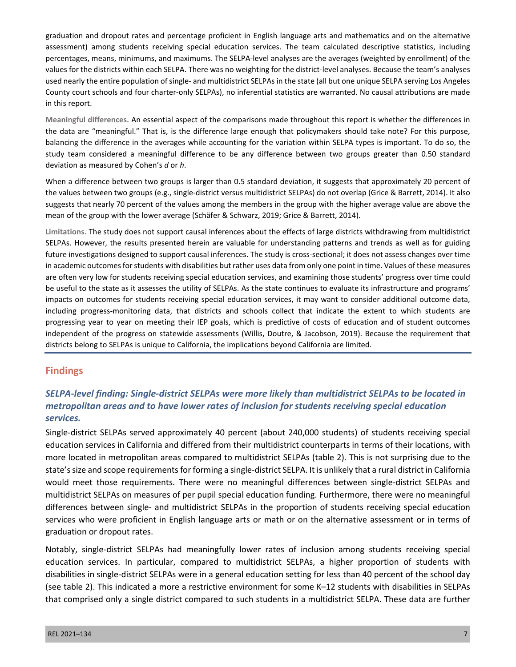graduation and dropout rates and percentage proficient in English language arts and mathematics and on the alternative assessment) among students receiving special education services. The team calculated descriptive statistics, including percentages, means, minimums, and maximums. The SELPA-level analyses are the averages (weighted by enrollment) of the values for the districts within each SELPA. There was no weighting for the district-level analyses. Because the team's analyses used nearly the entire population of single- and multidistrict SELPAs in the state (all but one unique SELPA serving Los Angeles County court schools and four charter-only SELPAs), no inferential statistics are warranted. No causal attributions are made in this report.

**Meaningful differences.** An essential aspect of the comparisons made throughout this report is whether the differences in the data are "meaningful." That is, is the difference large enough that policymakers should take note? For this purpose, balancing the difference in the averages while accounting for the variation within SELPA types is important. To do so, the study team considered a meaningful difference to be any difference between two groups greater than 0.50 standard deviation as measured by Cohen's *d* or *h*.

When a difference between two groups is larger than 0.5 standard deviation, it suggests that approximately 20 percent of the values between two groups (e.g., single-district versus multidistrict SELPAs) do not overlap (Grice & Barrett, 2014). It also suggests that nearly 70 percent of the values among the members in the group with the higher average value are above the mean of the group with the lower average (Schäfer & Schwarz, 2019; Grice & Barrett, 2014).

**Limitations.** The study does not support causal inferences about the effects of large districts withdrawing from multidistrict SELPAs. However, the results presented herein are valuable for understanding patterns and trends as well as for guiding future investigations designed to support causal inferences. The study is cross-sectional; it does not assess changes over time in academic outcomes for students with disabilities but rather uses data from only one point in time. Values of these measures are often very low for students receiving special education services, and examining those students' progress over time could be useful to the state as it assesses the utility of SELPAs. As the state continues to evaluate its infrastructure and programs' impacts on outcomes for students receiving special education services, it may want to consider additional outcome data, including progress-monitoring data, that districts and schools collect that indicate the extent to which students are progressing year to year on meeting their IEP goals, which is predictive of costs of education and of student outcomes independent of the progress on statewide assessments (Willis, Doutre, & Jacobson, 2019). Because the requirement that districts belong to SELPAs is unique to California, the implications beyond California are limited.

#### **Findings**

## *SELPA-level finding: Single-district SELPAs were more likely than multidistrict SELPAs to be located in metropolitan areas and to have lower rates of inclusion for students receiving special education services.*

Single-district SELPAs served approximately 40 percent (about 240,000 students) of students receiving special education services in California and differed from their multidistrict counterparts in terms of their locations, with more located in metropolitan areas compared to multidistrict SELPAs (table 2). This is not surprising due to the state's size and scope requirementsfor forming a single-district SELPA. It is unlikely that a rural district in California would meet those requirements. There were no meaningful differences between single-district SELPAs and multidistrict SELPAs on measures of per pupil special education funding. Furthermore, there were no meaningful differences between single- and multidistrict SELPAs in the proportion of students receiving special education services who were proficient in English language arts or math or on the alternative assessment or in terms of graduation or dropout rates.

Notably, single-district SELPAs had meaningfully lower rates of inclusion among students receiving special education services. In particular, compared to multidistrict SELPAs, a higher proportion of students with disabilities in single-district SELPAs were in a general education setting for less than 40 percent of the school day (see table 2). This indicated a more a restrictive environment for some K–12 students with disabilities in SELPAs that comprised only a single district compared to such students in a multidistrict SELPA. These data are further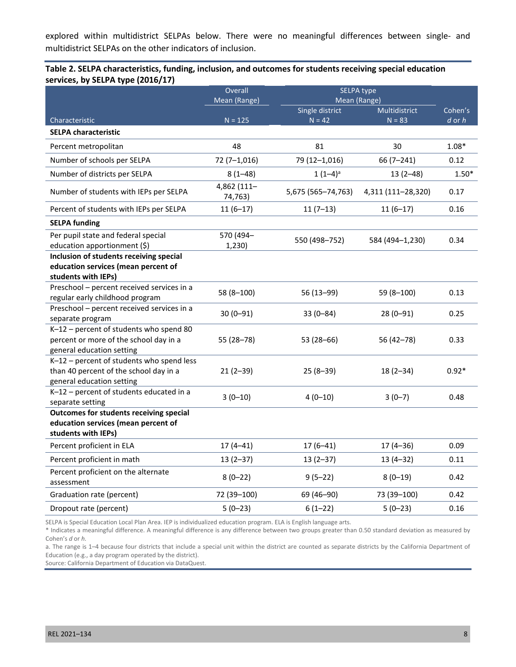explored within multidistrict SELPAs below. There were no meaningful differences between single- and multidistrict SELPAs on the other indicators of inclusion.

| Table 2. SELPA characteristics, funding, inclusion, and outcomes for students receiving special education |
|-----------------------------------------------------------------------------------------------------------|
| services, by SELPA type (2016/17)                                                                         |

|                                                                                                                  | Overall                | SELPA type                  |                           |                       |
|------------------------------------------------------------------------------------------------------------------|------------------------|-----------------------------|---------------------------|-----------------------|
|                                                                                                                  | Mean (Range)           |                             | Mean (Range)              |                       |
| Characteristic                                                                                                   | $N = 125$              | Single district<br>$N = 42$ | Multidistrict<br>$N = 83$ | Cohen's<br>$d$ or $h$ |
| <b>SELPA characteristic</b>                                                                                      |                        |                             |                           |                       |
|                                                                                                                  | 48                     | 81                          | 30                        | $1.08*$               |
| Percent metropolitan                                                                                             |                        |                             |                           |                       |
| Number of schools per SELPA                                                                                      | $72(7-1,016)$          | 79 (12-1,016)               | $66(7 - 241)$             | 0.12                  |
| Number of districts per SELPA                                                                                    | $8(1-48)$              | $1(1-4)^a$                  | $13(2-48)$                | $1.50*$               |
| Number of students with IEPs per SELPA                                                                           | 4,862 (111-<br>74,763) | 5,675 (565-74,763)          | 4,311 (111-28,320)        | 0.17                  |
| Percent of students with IEPs per SELPA                                                                          | $11(6-17)$             | $11(7-13)$                  | $11(6-17)$                | 0.16                  |
| <b>SELPA funding</b>                                                                                             |                        |                             |                           |                       |
| Per pupil state and federal special<br>education apportionment (\$)                                              | 570 (494-<br>1,230)    | 550 (498-752)               | 584 (494-1,230)           | 0.34                  |
| Inclusion of students receiving special<br>education services (mean percent of<br>students with IEPs)            |                        |                             |                           |                       |
| Preschool - percent received services in a<br>regular early childhood program                                    | $58(8-100)$            | 56 (13-99)                  | 59 (8-100)                | 0.13                  |
| Preschool - percent received services in a<br>separate program                                                   | $30(0 - 91)$           | $33(0 - 84)$                | $28(0-91)$                | 0.25                  |
| K-12 - percent of students who spend 80<br>percent or more of the school day in a<br>general education setting   | 55 (28-78)             | $53(28-66)$                 | 56 (42-78)                | 0.33                  |
| K-12 - percent of students who spend less<br>than 40 percent of the school day in a<br>general education setting | $21(2-39)$             | $25(8-39)$                  | $18(2-34)$                | $0.92*$               |
| K-12 - percent of students educated in a<br>separate setting                                                     | $3(0-10)$              | $4(0-10)$                   | $3(0-7)$                  | 0.48                  |
| <b>Outcomes for students receiving special</b><br>education services (mean percent of<br>students with IEPs)     |                        |                             |                           |                       |
| Percent proficient in ELA                                                                                        | $17(4 - 41)$           | $17(6-41)$                  | $17(4-36)$                | 0.09                  |
| Percent proficient in math                                                                                       | $13(2-37)$             | $13(2-37)$                  | $13(4-32)$                | 0.11                  |
| Percent proficient on the alternate<br>assessment                                                                | $8(0-22)$              | $9(5-22)$                   | $8(0-19)$                 | 0.42                  |
| Graduation rate (percent)                                                                                        | 72 (39-100)            | 69 (46-90)                  | 73 (39-100)               | 0.42                  |
| Dropout rate (percent)                                                                                           | $5(0-23)$              | $6(1-22)$                   | $5(0-23)$                 | 0.16                  |

SELPA is Special Education Local Plan Area. IEP is individualized education program. ELA is English language arts.

\* Indicates a meaningful difference. A meaningful difference is any difference between two groups greater than 0.50 standard deviation as measured by Cohen's *d* or *h*.

a. The range is 1–4 because four districts that include a special unit within the district are counted as separate districts by the California Department of Education (e.g., a day program operated by the district).

Source: California Department of Education via DataQuest.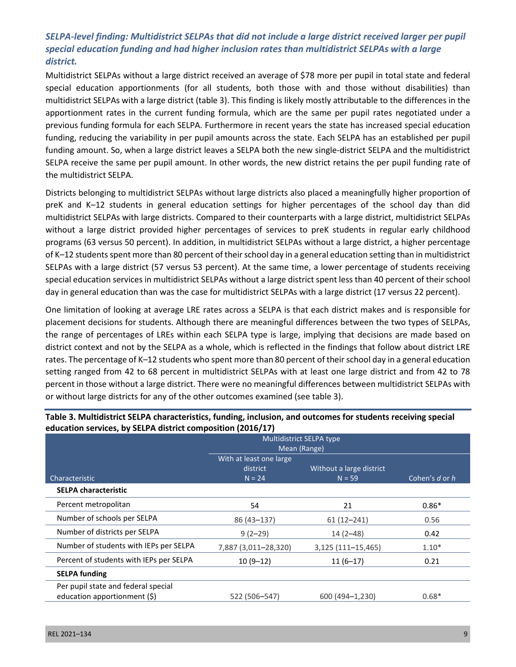# *SELPA-level finding: Multidistrict SELPAs that did not include a large district received larger per pupil special education funding and had higher inclusion rates than multidistrict SELPAs with a large district.*

Multidistrict SELPAs without a large district received an average of \$78 more per pupil in total state and federal special education apportionments (for all students, both those with and those without disabilities) than multidistrict SELPAs with a large district (table 3). This finding is likely mostly attributable to the differences in the apportionment rates in the current funding formula, which are the same per pupil rates negotiated under a previous funding formula for each SELPA. Furthermore in recent years the state has increased special education funding, reducing the variability in per pupil amounts across the state. Each SELPA has an established per pupil funding amount. So, when a large district leaves a SELPA both the new single-district SELPA and the multidistrict SELPA receive the same per pupil amount. In other words, the new district retains the per pupil funding rate of the multidistrict SELPA.

Districts belonging to multidistrict SELPAs without large districts also placed a meaningfully higher proportion of preK and K–12 students in general education settings for higher percentages of the school day than did multidistrict SELPAs with large districts. Compared to their counterparts with a large district, multidistrict SELPAs without a large district provided higher percentages of services to preK students in regular early childhood programs (63 versus 50 percent). In addition, in multidistrict SELPAs without a large district, a higher percentage of K–12 students spent more than 80 percent of their school day in a general education setting than in multidistrict SELPAs with a large district (57 versus 53 percent). At the same time, a lower percentage of students receiving special education services in multidistrict SELPAs without a large district spent less than 40 percent of their school day in general education than was the case for multidistrict SELPAs with a large district (17 versus 22 percent).

One limitation of looking at average LRE rates across a SELPA is that each district makes and is responsible for placement decisions for students. Although there are meaningful differences between the two types of SELPAs, the range of percentages of LREs within each SELPA type is large, implying that decisions are made based on district context and not by the SELPA as a whole, which is reflected in the findings that follow about district LRE rates. The percentage of K–12 students who spent more than 80 percent of their school day in a general education setting ranged from 42 to 68 percent in multidistrict SELPAs with at least one large district and from 42 to 78 percent in those without a large district. There were no meaningful differences between multidistrict SELPAs with or without large districts for any of the other outcomes examined (see table 3).

|                                         | <b>Multidistrict SELPA type</b><br>Mean (Range) |                          |                |  |  |
|-----------------------------------------|-------------------------------------------------|--------------------------|----------------|--|--|
|                                         | With at least one large                         |                          |                |  |  |
|                                         | district                                        | Without a large district |                |  |  |
| Characteristic                          | $N = 24$                                        | $N = 59$                 | Cohen's d or h |  |  |
| <b>SELPA characteristic</b>             |                                                 |                          |                |  |  |
| Percent metropolitan                    | 54                                              | 21                       | $0.86*$        |  |  |
| Number of schools per SELPA             | 86 (43 - 137)                                   | $61(12 - 241)$           | 0.56           |  |  |
| Number of districts per SELPA           | $9(2 - 29)$                                     | $14(2-48)$               | 0.42           |  |  |
| Number of students with IEPs per SELPA  | 7,887 (3,011-28,320)                            | 3,125 (111-15,465)       | $1.10*$        |  |  |
| Percent of students with IEPs per SELPA | $10(9-12)$                                      | $11(6-17)$               | 0.21           |  |  |
| <b>SELPA funding</b>                    |                                                 |                          |                |  |  |
| Per pupil state and federal special     |                                                 |                          |                |  |  |
| education apportionment $(5)$           | 522 (506-547)                                   | 600 (494-1,230)          | $0.68*$        |  |  |

**Table 3. Multidistrict SELPA characteristics, funding, inclusion, and outcomes for students receiving special education services, by SELPA district composition (2016/17)**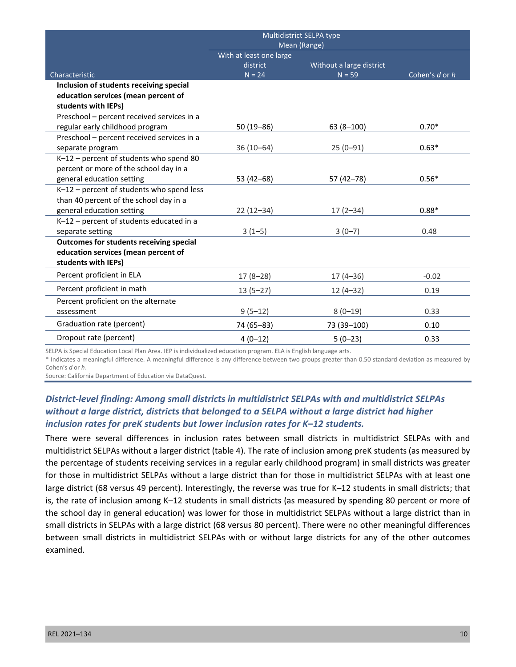|                                                                                | Multidistrict SELPA type |                          |                |  |  |
|--------------------------------------------------------------------------------|--------------------------|--------------------------|----------------|--|--|
|                                                                                | Mean (Range)             |                          |                |  |  |
|                                                                                | With at least one large  |                          |                |  |  |
|                                                                                | district                 | Without a large district |                |  |  |
| Characteristic                                                                 | $N = 24$                 | $N = 59$                 | Cohen's d or h |  |  |
| Inclusion of students receiving special<br>education services (mean percent of |                          |                          |                |  |  |
| students with IEPs)                                                            |                          |                          |                |  |  |
| Preschool - percent received services in a                                     |                          |                          |                |  |  |
| regular early childhood program                                                | $50(19 - 86)$            | $63(8-100)$              | $0.70*$        |  |  |
| Preschool - percent received services in a                                     |                          |                          |                |  |  |
| separate program                                                               | $36(10-64)$              | $25(0-91)$               | $0.63*$        |  |  |
| K-12 - percent of students who spend 80                                        |                          |                          |                |  |  |
| percent or more of the school day in a                                         |                          |                          |                |  |  |
| general education setting                                                      | 53 (42-68)               | 57 (42-78)               | $0.56*$        |  |  |
| K-12 - percent of students who spend less                                      |                          |                          |                |  |  |
| than 40 percent of the school day in a                                         |                          |                          |                |  |  |
| general education setting                                                      | $22(12-34)$              | $17(2-34)$               | $0.88*$        |  |  |
| K-12 - percent of students educated in a                                       |                          |                          |                |  |  |
| separate setting                                                               | $3(1-5)$                 | $3(0-7)$                 | 0.48           |  |  |
| Outcomes for students receiving special                                        |                          |                          |                |  |  |
| education services (mean percent of                                            |                          |                          |                |  |  |
| students with IEPs)                                                            |                          |                          |                |  |  |
| Percent proficient in ELA                                                      | $17(8-28)$               | $17(4-36)$               | $-0.02$        |  |  |
| Percent proficient in math                                                     | $13(5-27)$               | $12(4-32)$               | 0.19           |  |  |
| Percent proficient on the alternate                                            |                          |                          |                |  |  |
| assessment                                                                     | $9(5-12)$                | $8(0-19)$                | 0.33           |  |  |
| Graduation rate (percent)                                                      | 74 (65-83)               | 73 (39-100)              | 0.10           |  |  |
| Dropout rate (percent)                                                         | $4(0-12)$                | $5(0-23)$                | 0.33           |  |  |

SELPA is Special Education Local Plan Area. IEP is individualized education program. ELA is English language arts.

\* Indicates a meaningful difference. A meaningful difference is any difference between two groups greater than 0.50 standard deviation as measured by Cohen's *d* or *h.*

Source: California Department of Education via DataQuest.

## *District-level finding: Among small districts in multidistrict SELPAs with and multidistrict SELPAs without a large district, districts that belonged to a SELPA without a large district had higher inclusion rates for preK students but lower inclusion rates for K–12 students.*

There were several differences in inclusion rates between small districts in multidistrict SELPAs with and multidistrict SELPAs without a larger district (table 4). The rate of inclusion among preK students (as measured by the percentage of students receiving services in a regular early childhood program) in small districts was greater for those in multidistrict SELPAs without a large district than for those in multidistrict SELPAs with at least one large district (68 versus 49 percent). Interestingly, the reverse was true for K–12 students in small districts; that is, the rate of inclusion among K–12 students in small districts (as measured by spending 80 percent or more of the school day in general education) was lower for those in multidistrict SELPAs without a large district than in small districts in SELPAs with a large district (68 versus 80 percent). There were no other meaningful differences between small districts in multidistrict SELPAs with or without large districts for any of the other outcomes examined.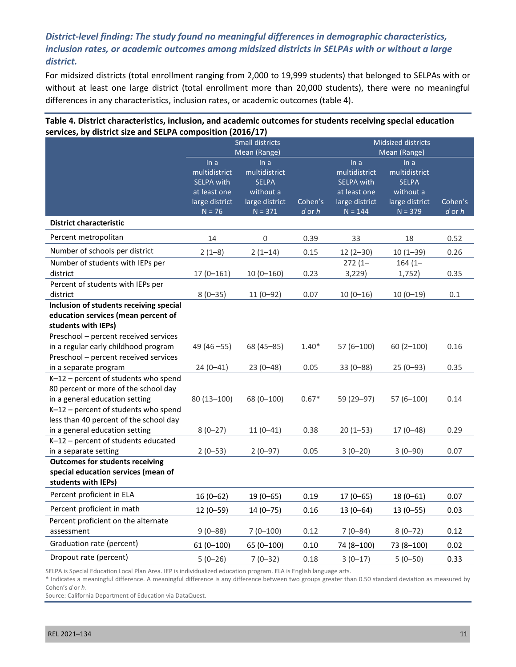# *District-level finding: The study found no meaningful differences in demographic characteristics, inclusion rates, or academic outcomes among midsized districts in SELPAs with or without a large district.*

For midsized districts (total enrollment ranging from 2,000 to 19,999 students) that belonged to SELPAs with or without at least one large district (total enrollment more than 20,000 students), there were no meaningful differences in any characteristics, inclusion rates, or academic outcomes (table 4).

| services, by district size and SELPA composition (2016/17)                     |                                            |                                       |                           |                                     |                                       |            |
|--------------------------------------------------------------------------------|--------------------------------------------|---------------------------------------|---------------------------|-------------------------------------|---------------------------------------|------------|
|                                                                                | <b>Small districts</b>                     |                                       | <b>Midsized districts</b> |                                     |                                       |            |
|                                                                                |                                            | Mean (Range)                          |                           |                                     | Mean (Range)                          |            |
|                                                                                | ln a<br>multidistrict<br><b>SELPA with</b> | ln a<br>multidistrict<br><b>SELPA</b> |                           | ln a<br>multidistrict<br>SELPA with | In a<br>multidistrict<br><b>SELPA</b> |            |
|                                                                                | at least one                               | without a                             |                           | at least one                        | without a                             |            |
|                                                                                | large district                             | large district                        | Cohen's                   | large district                      | large district                        | Cohen's    |
|                                                                                | $N = 76$                                   | $N = 371$                             | $d$ or $h$                | $N = 144$                           | $N = 379$                             | $d$ or $h$ |
| <b>District characteristic</b>                                                 |                                            |                                       |                           |                                     |                                       |            |
| Percent metropolitan                                                           | 14                                         | 0                                     | 0.39                      | 33                                  | 18                                    | 0.52       |
| Number of schools per district                                                 | $2(1-8)$                                   | $2(1-14)$                             | 0.15                      | $12(2-30)$                          | $10(1-39)$                            | 0.26       |
| Number of students with IEPs per                                               |                                            |                                       |                           | $272(1 -$                           | $164(1 -$                             |            |
| district                                                                       | $17(0 - 161)$                              | $10(0-160)$                           | 0.23                      | 3,229                               | 1,752)                                | 0.35       |
| Percent of students with IEPs per                                              |                                            |                                       |                           |                                     |                                       |            |
| district                                                                       | $8(0 - 35)$                                | $11(0-92)$                            | 0.07                      | $10(0-16)$                          | $10(0-19)$                            | 0.1        |
| Inclusion of students receiving special                                        |                                            |                                       |                           |                                     |                                       |            |
| education services (mean percent of                                            |                                            |                                       |                           |                                     |                                       |            |
| students with IEPs)                                                            |                                            |                                       |                           |                                     |                                       |            |
| Preschool - percent received services                                          |                                            |                                       |                           |                                     |                                       |            |
| in a regular early childhood program                                           | 49 (46 – 55)                               | 68 (45 - 85)                          | $1.40*$                   | $57(6 - 100)$                       | $60(2-100)$                           | 0.16       |
| Preschool - percent received services                                          |                                            |                                       |                           |                                     |                                       |            |
| in a separate program                                                          | $24(0 - 41)$                               | $23(0-48)$                            | 0.05                      | $33(0 - 88)$                        | 25 (0-93)                             | 0.35       |
| K-12 - percent of students who spend                                           |                                            |                                       |                           |                                     |                                       |            |
| 80 percent or more of the school day                                           |                                            |                                       |                           |                                     |                                       |            |
| in a general education setting                                                 | 80 (13-100)                                | 68 (0-100)                            | $0.67*$                   | 59 (29-97)                          | $57(6 - 100)$                         | 0.14       |
| K-12 - percent of students who spend<br>less than 40 percent of the school day |                                            |                                       |                           |                                     |                                       |            |
| in a general education setting                                                 | $8(0-27)$                                  | $11(0-41)$                            | 0.38                      | $20(1-53)$                          | $17(0 - 48)$                          | 0.29       |
| K-12 - percent of students educated                                            |                                            |                                       |                           |                                     |                                       |            |
| in a separate setting                                                          | $2(0-53)$                                  | $2(0-97)$                             | 0.05                      | $3(0-20)$                           | $3(0 - 90)$                           | 0.07       |
| <b>Outcomes for students receiving</b>                                         |                                            |                                       |                           |                                     |                                       |            |
| special education services (mean of                                            |                                            |                                       |                           |                                     |                                       |            |
| students with IEPs)                                                            |                                            |                                       |                           |                                     |                                       |            |
| Percent proficient in ELA                                                      | $16(0-62)$                                 | $19(0 - 65)$                          | 0.19                      | $17(0 - 65)$                        | $18(0 - 61)$                          | 0.07       |
| Percent proficient in math                                                     | $12(0 - 59)$                               | $14(0 - 75)$                          | 0.16                      | $13(0-64)$                          | $13(0 - 55)$                          | 0.03       |
| Percent proficient on the alternate                                            |                                            |                                       |                           |                                     |                                       |            |
| assessment                                                                     | $9(0 - 88)$                                | $7(0-100)$                            | 0.12                      | $7(0 - 84)$                         | $8(0 - 72)$                           | 0.12       |
| Graduation rate (percent)                                                      | $61(0 - 100)$                              | $65(0 - 100)$                         | 0.10                      | 74 (8-100)                          | 73 (8-100)                            | 0.02       |
| Dropout rate (percent)                                                         | $5(0-26)$                                  | $7(0-32)$                             | 0.18                      | $3(0-17)$                           | $5(0-50)$                             | 0.33       |

#### **Table 4. District characteristics, inclusion, and academic outcomes for students receiving special education services, by district size and SELPA composition (2016/17)**

SELPA is Special Education Local Plan Area. IEP is individualized education program. ELA is English language arts.

\* Indicates a meaningful difference. A meaningful difference is any difference between two groups greater than 0.50 standard deviation as measured by Cohen's *d* or *h.*

Source: California Department of Education via DataQuest.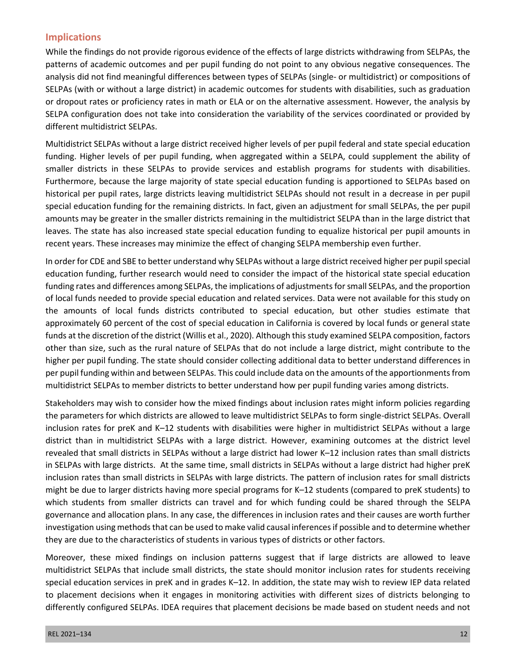## **Implications**

While the findings do not provide rigorous evidence of the effects of large districts withdrawing from SELPAs, the patterns of academic outcomes and per pupil funding do not point to any obvious negative consequences. The analysis did not find meaningful differences between types of SELPAs (single- or multidistrict) or compositions of SELPAs (with or without a large district) in academic outcomes for students with disabilities, such as graduation or dropout rates or proficiency rates in math or ELA or on the alternative assessment. However, the analysis by SELPA configuration does not take into consideration the variability of the services coordinated or provided by different multidistrict SELPAs.

Multidistrict SELPAs without a large district received higher levels of per pupil federal and state special education funding. Higher levels of per pupil funding, when aggregated within a SELPA, could supplement the ability of smaller districts in these SELPAs to provide services and establish programs for students with disabilities. Furthermore, because the large majority of state special education funding is apportioned to SELPAs based on historical per pupil rates, large districts leaving multidistrict SELPAs should not result in a decrease in per pupil special education funding for the remaining districts. In fact, given an adjustment for small SELPAs, the per pupil amounts may be greater in the smaller districts remaining in the multidistrict SELPA than in the large district that leaves. The state has also increased state special education funding to equalize historical per pupil amounts in recent years. These increases may minimize the effect of changing SELPA membership even further.

In order for CDE and SBE to better understand why SELPAs without a large district received higher per pupil special education funding, further research would need to consider the impact of the historical state special education funding rates and differences among SELPAs, the implications of adjustments for small SELPAs, and the proportion of local funds needed to provide special education and related services. Data were not available for this study on the amounts of local funds districts contributed to special education, but other studies estimate that approximately 60 percent of the cost of special education in California is covered by local funds or general state funds at the discretion of the district (Willis et al., 2020). Although this study examined SELPA composition, factors other than size, such as the rural nature of SELPAs that do not include a large district, might contribute to the higher per pupil funding. The state should consider collecting additional data to better understand differences in per pupil funding within and between SELPAs. This could include data on the amounts of the apportionments from multidistrict SELPAs to member districts to better understand how per pupil funding varies among districts.

Stakeholders may wish to consider how the mixed findings about inclusion rates might inform policies regarding the parameters for which districts are allowed to leave multidistrict SELPAs to form single-district SELPAs. Overall inclusion rates for preK and K–12 students with disabilities were higher in multidistrict SELPAs without a large district than in multidistrict SELPAs with a large district. However, examining outcomes at the district level revealed that small districts in SELPAs without a large district had lower K–12 inclusion rates than small districts in SELPAs with large districts. At the same time, small districts in SELPAs without a large district had higher preK inclusion rates than small districts in SELPAs with large districts. The pattern of inclusion rates for small districts might be due to larger districts having more special programs for K–12 students (compared to preK students) to which students from smaller districts can travel and for which funding could be shared through the SELPA governance and allocation plans. In any case, the differences in inclusion rates and their causes are worth further investigation using methods that can be used to make valid causal inferences if possible and to determine whether they are due to the characteristics of students in various types of districts or other factors.

Moreover, these mixed findings on inclusion patterns suggest that if large districts are allowed to leave multidistrict SELPAs that include small districts, the state should monitor inclusion rates for students receiving special education services in preK and in grades K–12. In addition, the state may wish to review IEP data related to placement decisions when it engages in monitoring activities with different sizes of districts belonging to differently configured SELPAs. IDEA requires that placement decisions be made based on student needs and not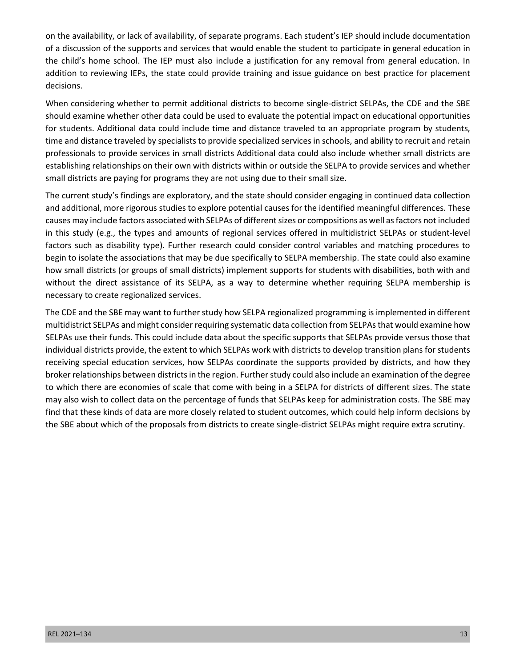on the availability, or lack of availability, of separate programs. Each student's IEP should include documentation of a discussion of the supports and services that would enable the student to participate in general education in the child's home school. The IEP must also include a justification for any removal from general education. In addition to reviewing IEPs, the state could provide training and issue guidance on best practice for placement decisions.

When considering whether to permit additional districts to become single-district SELPAs, the CDE and the SBE should examine whether other data could be used to evaluate the potential impact on educational opportunities for students. Additional data could include time and distance traveled to an appropriate program by students, time and distance traveled by specialists to provide specialized services in schools, and ability to recruit and retain professionals to provide services in small districts Additional data could also include whether small districts are establishing relationships on their own with districts within or outside the SELPA to provide services and whether small districts are paying for programs they are not using due to their small size.

The current study's findings are exploratory, and the state should consider engaging in continued data collection and additional, more rigorous studies to explore potential causes for the identified meaningful differences. These causes may include factors associated with SELPAs of different sizes or compositions as well as factors not included in this study (e.g., the types and amounts of regional services offered in multidistrict SELPAs or student-level factors such as disability type). Further research could consider control variables and matching procedures to begin to isolate the associations that may be due specifically to SELPA membership. The state could also examine how small districts (or groups of small districts) implement supports for students with disabilities, both with and without the direct assistance of its SELPA, as a way to determine whether requiring SELPA membership is necessary to create regionalized services.

The CDE and the SBE may want to further study how SELPA regionalized programming is implemented in different multidistrict SELPAs and might consider requiring systematic data collection from SELPAsthat would examine how SELPAs use their funds. This could include data about the specific supports that SELPAs provide versus those that individual districts provide, the extent to which SELPAs work with districts to develop transition plans for students receiving special education services, how SELPAs coordinate the supports provided by districts, and how they broker relationships between districts in the region. Further study could also include an examination of the degree to which there are economies of scale that come with being in a SELPA for districts of different sizes. The state may also wish to collect data on the percentage of funds that SELPAs keep for administration costs. The SBE may find that these kinds of data are more closely related to student outcomes, which could help inform decisions by the SBE about which of the proposals from districts to create single-district SELPAs might require extra scrutiny.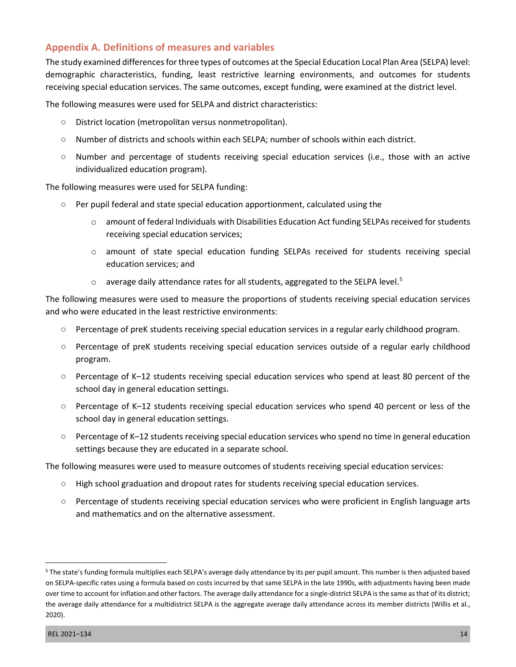# **Appendix A. Definitions of measures and variables**

The study examined differences for three types of outcomes at the Special Education Local Plan Area (SELPA) level: demographic characteristics, funding, least restrictive learning environments, and outcomes for students receiving special education services. The same outcomes, except funding, were examined at the district level.

The following measures were used for SELPA and district characteristics:

- District location (metropolitan versus nonmetropolitan).
- Number of districts and schools within each SELPA; number of schools within each district.
- Number and percentage of students receiving special education services (i.e., those with an active individualized education program).

The following measures were used for SELPA funding:

- Per pupil federal and state special education apportionment, calculated using the
	- o amount of federal Individuals with Disabilities Education Act funding SELPAs received forstudents receiving special education services;
	- o amount of state special education funding SELPAs received for students receiving special education services; and
	- $\circ$  average daily attendance rates for all students, aggregated to the SELPA level.<sup>[5](#page-14-0)</sup>

The following measures were used to measure the proportions of students receiving special education services and who were educated in the least restrictive environments:

- Percentage of preK students receiving special education services in a regular early childhood program.
- Percentage of preK students receiving special education services outside of a regular early childhood program.
- Percentage of K–12 students receiving special education services who spend at least 80 percent of the school day in general education settings.
- Percentage of K–12 students receiving special education services who spend 40 percent or less of the school day in general education settings.
- Percentage of K–12 students receiving special education services who spend no time in general education settings because they are educated in a separate school.

The following measures were used to measure outcomes of students receiving special education services:

- High school graduation and dropout rates for students receiving special education services.
- Percentage of students receiving special education services who were proficient in English language arts and mathematics and on the alternative assessment.

<span id="page-14-0"></span><sup>5</sup> The state's funding formula multiplies each SELPA's average daily attendance by its per pupil amount. This number is then adjusted based on SELPA-specific rates using a formula based on costs incurred by that same SELPA in the late 1990s, with adjustments having been made over time to account for inflation and other factors. The average daily attendance for a single-district SELPA is the same as that of its district; the average daily attendance for a multidistrict SELPA is the aggregate average daily attendance across its member districts (Willis et al., 2020).